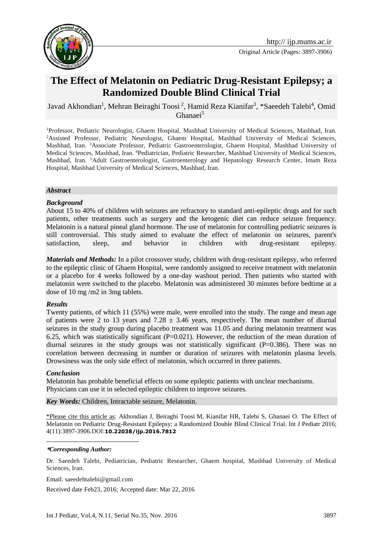

Original Article (Pages: 3897-3906)

# **The Effect of Melatonin on Pediatric Drug-Resistant Epilepsy; a Randomized Double Blind Clinical Trial**

Javad Akhondian<sup>1</sup>, Mehran Beiraghi Toosi<sup>2</sup>, Hamid Reza Kianifar<sup>3</sup>, \*Saeedeh Talebi<sup>4</sup>, Omid Ghanaei<sup>5</sup>

<sup>1</sup>Professor, Pediatric Neurologist, Ghaem Hospital, Mashhad University of Medical Sciences, Mashhad, Iran. <sup>2</sup>Assisted Professor, Pediatric Neurologist, Ghaem Hospital, Mashhad University of Medical Sciences, Mashhad, Iran. <sup>3</sup>Associate Professor, Pediatric Gastroenterologist, Ghaem Hospital, Mashhad University of Medical Sciences, Mashhad, Iran. <sup>4</sup>Pediatrician, Pediatric Researcher, Mashhad University of Medical Sciences, Mashhad, Iran. <sup>5</sup>Adult Gastroenterologist, Gastroenterology and Hepatology Research Center, Imam Reza Hospital, Mashhad University of Medical Sciences, Mashhad, Iran.

#### *Abstract*

#### *Background*

About 15 to 40% of children with seizures are refractory to standard anti-epileptic drugs and for such patients, other treatments such as surgery and the ketogenic diet can reduce seizure frequency. Melatonin is a natural pineal gland hormone. The use of melatonin for controlling pediatric seizures is still controversial. This study aimed to evaluate the effect of melatonin on seizures, parent's satisfaction, sleep, and behavior in children with drug-resistant epilepsy.

*Materials and Methods:* In a pilot crossover study, children with drug-resistant epilepsy, who referred to the epileptic clinic of Ghaem Hospital, were randomly assigned to receive treatment with melatonin or a placebo for 4 weeks followed by a one-day washout period. Then patients who started with melatonin were switched to the placebo. Melatonin was administered 30 minutes before bedtime at a dose of 10 mg /m2 in 3mg tablets.

#### *Results*

Twenty patients, of which 11 (55%) were male, were enrolled into the study. The range and mean age of patients were 2 to 13 years and  $7.28 \pm 3.46$  years, respectively. The mean number of diurnal seizures in the study group during placebo treatment was 11.05 and during melatonin treatment was 6.25, which was statistically significant  $(P=0.021)$ . However, the reduction of the mean duration of diurnal seizures in the study groups was not statistically significant  $(P=0.386)$ . There was no correlation between decreasing in number or duration of seizures with melatonin plasma levels. Drowsiness was the only side effect of melatonin, which occurred in three patients.

#### *Conclusion*

Melatonin has probable beneficial effects on some epileptic patients with unclear mechanisms. Physicians can use it in selected epileptic children to improve seizures.

*Key Words:* Children, Intractable seizure, Melatonin.

\*Please cite this article as: Akhondian J, Beiraghi Toosi M, Kianifar HR, Talebi S, Ghanaei O. The Effect of Melatonin on Pediatric Drug-Resistant Epilepsy; a Randomized Double Blind Clinical Trial. Int J Pediatr 2016; 4(11):3897-3906.DOI:**10.22038/ijp.2016.7812**

#### 1 **\****Corresponding Author:*

Dr. Saeedeh Talebi, Pediatrician, Pediatric Researcher, Ghaem hospital, Mashhad University of Medical Sciences, Iran.

Email: saeedehtalebi@gmail.com

Received date Feb23, 2016; Accepted date: Mar 22, 2016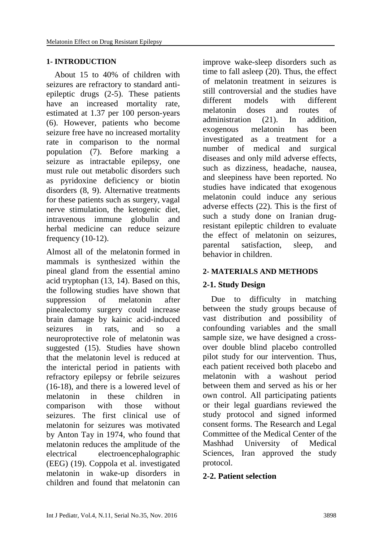### **1- INTRODUCTION**

 About 15 to 40% of children with seizures are refractory to standard antiepileptic drugs [\(2-5\)](#page-7-0). These patients have an increased mortality rate, estimated at 1.37 per 100 person-years [\(6\)](#page-7-1). However, patients who become seizure free have no increased mortality rate in comparison to the normal population [\(7\)](#page-7-2). Before marking a seizure as intractable epilepsy, one must rule out metabolic disorders such as pyridoxine deficiency or biotin disorders [\(8,](#page-7-3) [9\)](#page-8-0). Alternative treatments for these patients such as surgery, vagal nerve stimulation, the ketogenic diet, intravenous immune globulin and herbal medicine can reduce seizure frequency  $(10-12)$ .

Almost all of the melatonin formed in mammals is synthesized within the pineal gland from the essential amino acid tryptophan [\(13,](#page-8-2) [14\)](#page-8-3). Based on this, the following studies have shown that suppression of melatonin after pinealectomy surgery could increase brain damage by kainic acid-induced seizures in rats, and so a neuroprotective role of melatonin was suggested [\(15\)](#page-8-4). Studies have shown that the melatonin level is reduced at the interictal period in patients with refractory epilepsy or febrile seizures [\(16-18\)](#page-8-5), and there is a lowered level of melatonin in these children in comparison with those without seizures. The first clinical use of melatonin for seizures was motivated by Anton Tay in 1974, who found that melatonin reduces the amplitude of the electrical electroencephalographic (EEG) [\(19\)](#page-8-6). Coppola et al. investigated melatonin in wake-up disorders in children and found that melatonin can

improve wake-sleep disorders such as time to fall asleep [\(20\)](#page-8-7). Thus, the effect of melatonin treatment in seizures is still controversial and the studies have different models with different melatonin doses and routes of administration (21). In addition, exogenous melatonin has been investigated as a treatment for a number of medical and surgical diseases and only mild adverse effects, such as dizziness, headache, nausea, and sleepiness have been reported. No studies have indicated that exogenous melatonin could induce any serious adverse effects [\(22\)](#page-8-8). This is the first of such a study done on Iranian drugresistant epileptic children to evaluate the effect of melatonin on seizures, parental satisfaction, sleep, and behavior in children.

### **2- MATERIALS AND METHODS**

## **2-1. Study Design**

Due to difficulty in matching between the study groups because of vast distribution and possibility of confounding variables and the small sample size, we have designed a crossover double blind placebo controlled pilot study for our intervention. Thus, each patient received both placebo and melatonin with a washout period between them and served as his or her own control. All participating patients or their legal guardians reviewed the study protocol and signed informed consent forms. The Research and Legal Committee of the Medical Center of the Mashhad University of Medical Sciences, Iran approved the study protocol.

### **2-2. Patient selection**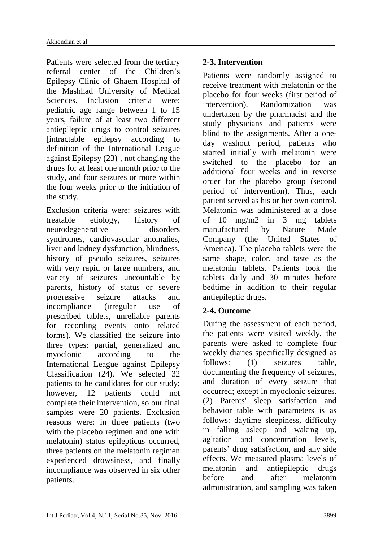Patients were selected from the tertiary referral center of the Children's Epilepsy Clinic of Ghaem Hospital of the Mashhad University of Medical Sciences. Inclusion criteria were: pediatric age range between 1 to 15 years, failure of at least two different antiepileptic drugs to control seizures [intractable epilepsy according to definition of the International League against Epilepsy [\(23\)](#page-8-9)], not changing the drugs for at least one month prior to the study, and four seizures or more within the four weeks prior to the initiation of the study.

Exclusion criteria were: seizures with treatable etiology, history of neurodegenerative disorders syndromes, cardiovascular anomalies, liver and kidney dysfunction, blindness, history of pseudo seizures, seizures with very rapid or large numbers, and variety of seizures uncountable by parents, history of status or severe progressive seizure attacks and incompliance (irregular use of prescribed tablets, unreliable parents for recording events onto related forms). We classified the seizure into three types: partial, generalized and myoclonic according to the International League against Epilepsy Classification [\(24\)](#page-9-0). We selected 32 patients to be candidates for our study; however, 12 patients could not complete their intervention, so our final samples were 20 patients. Exclusion reasons were: in three patients (two with the placebo regimen and one with melatonin) status epilepticus occurred, three patients on the melatonin regimen experienced drowsiness, and finally incompliance was observed in six other patients.

## **2-3. Intervention**

Patients were randomly assigned to receive treatment with melatonin or the placebo for four weeks (first period of intervention). Randomization was undertaken by the pharmacist and the study physicians and patients were blind to the assignments. After a oneday washout period, patients who started initially with melatonin were switched to the placebo for an additional four weeks and in reverse order for the placebo group (second period of intervention). Thus, each patient served as his or her own control. Melatonin was administered at a dose of 10 mg/m2 in 3 mg tablets manufactured by Nature Made Company (the United States of America). The placebo tablets were the same shape, color, and taste as the melatonin tablets. Patients took the tablets daily and 30 minutes before bedtime in addition to their regular antiepileptic drugs.

## **2-4. Outcome**

During the assessment of each period, the patients were visited weekly, the parents were asked to complete four weekly diaries specifically designed as follows: (1) seizures table, documenting the frequency of seizures, and duration of every seizure that occurred; except in myoclonic seizures. (2) Parents' sleep satisfaction and behavior table with parameters is as follows: daytime sleepiness, difficulty in falling asleep and waking up, agitation and concentration levels, parents' drug satisfaction, and any side effects. We measured plasma levels of melatonin and antiepileptic drugs before and after melatonin administration, and sampling was taken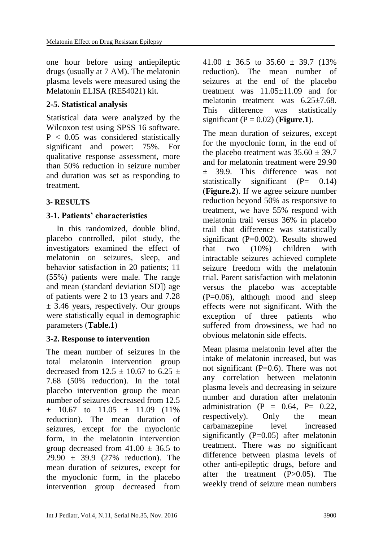one hour before using antiepileptic drugs (usually at 7 AM). The melatonin plasma levels were measured using the Melatonin ELISA (RE54021) kit.

## **2-5. Statistical analysis**

Statistical data were analyzed by the Wilcoxon test using SPSS 16 software. P < 0.05 was considered statistically significant and power: 75%. For qualitative response assessment, more than 50% reduction in seizure number and duration was set as responding to treatment.

## **3- RESULTS**

## **3-1. Patients' characteristics**

 In this randomized, double blind, placebo controlled, pilot study, the investigators examined the effect of melatonin on seizures, sleep, and behavior satisfaction in 20 patients; 11 (55%) patients were male. The range and mean (standard deviation SD]) age of patients were 2 to 13 years and 7.28  $\pm$  3.46 years, respectively. Our groups were statistically equal in demographic parameters (**Table.1**)

## **3-2. Response to intervention**

The mean number of seizures in the total melatonin intervention group decreased from  $12.5 \pm 10.67$  to  $6.25 \pm 10.67$ 7.68 (50% reduction). In the total placebo intervention group the mean number of seizures decreased from 12.5  $\pm$  10.67 to 11.05  $\pm$  11.09 (11%) reduction). The mean duration of seizures, except for the myoclonic form, in the melatonin intervention group decreased from  $41.00 \pm 36.5$  to 29.90 ± 39.9 (27% reduction). The mean duration of seizures, except for the myoclonic form, in the placebo intervention group decreased from  $41.00 \pm 36.5$  to  $35.60 \pm 39.7$  (13%) reduction). The mean number of seizures at the end of the placebo treatment was  $11.05 \pm 11.09$  and for melatonin treatment was 6.25±7.68. This difference was statistically significant  $(P = 0.02)$  (**Figure.1**).

The mean duration of seizures, except for the myoclonic form, in the end of the placebo treatment was  $35.60 \pm 39.7$ and for melatonin treatment were 29.90 ± 39.9. This difference was not statistically significant  $(P= 0.14)$ (**Figure.2**). If we agree seizure number reduction beyond 50% as responsive to treatment, we have 55% respond with melatonin trail versus 36% in placebo trail that difference was statistically significant  $(P=0.002)$ . Results showed that two (10%) children with intractable seizures achieved complete seizure freedom with the melatonin trial. Parent satisfaction with melatonin versus the placebo was acceptable (P=0.06), although mood and sleep effects were not significant. With the exception of three patients who suffered from drowsiness, we had no obvious melatonin side effects.

Mean plasma melatonin level after the intake of melatonin increased, but was not significant  $(P=0.6)$ . There was not any correlation between melatonin plasma levels and decreasing in seizure number and duration after melatonin administration  $(P = 0.64, P = 0.22, P)$ respectively). Only the mean carbamazepine level increased significantly  $(P=0.05)$  after melatonin treatment. There was no significant difference between plasma levels of other anti-epileptic drugs, before and after the treatment (P>0.05). The weekly trend of seizure mean numbers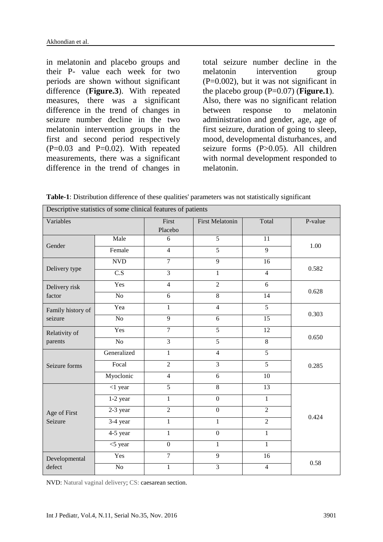in melatonin and placebo groups and their P- value each week for two periods are shown without significant difference (**Figure.3**). With repeated measures, there was a significant difference in the trend of changes in seizure number decline in the two melatonin intervention groups in the first and second period respectively  $(P=0.03$  and  $P=0.02$ ). With repeated measurements, there was a significant difference in the trend of changes in

total seizure number decline in the melatonin intervention group  $(P=0.002)$ , but it was not significant in the placebo group  $(P=0.07)$  (**Figure.1**). Also, there was no significant relation between response to melatonin administration and gender, age, age of first seizure, duration of going to sleep, mood, developmental disturbances, and seizure forms (P>0.05). All children with normal development responded to melatonin.

| Table-1: Distribution difference of these qualities' parameters was not statistically significant |  |  |  |
|---------------------------------------------------------------------------------------------------|--|--|--|
|---------------------------------------------------------------------------------------------------|--|--|--|

| Descriptive statistics of some clinical features of patients |                  |                  |                        |                 |         |  |  |  |
|--------------------------------------------------------------|------------------|------------------|------------------------|-----------------|---------|--|--|--|
| Variables                                                    |                  | First<br>Placebo | <b>First Melatonin</b> | Total           | P-value |  |  |  |
| Gender                                                       | Male             | 6                | $\overline{5}$         | $\overline{11}$ | 1.00    |  |  |  |
|                                                              | Female           | $\overline{4}$   | $\overline{5}$         | $\overline{9}$  |         |  |  |  |
| Delivery type                                                | <b>NVD</b>       | $\overline{7}$   | $\overline{9}$         | 16              | 0.582   |  |  |  |
|                                                              | $\overline{C.S}$ | $\overline{3}$   | $\mathbf{1}$           | $\overline{4}$  |         |  |  |  |
| Delivery risk<br>factor                                      | Yes              | $\overline{4}$   | $\overline{2}$         | $\overline{6}$  | 0.628   |  |  |  |
|                                                              | No               | 6                | $\overline{8}$         | 14              |         |  |  |  |
| Family history of<br>seizure                                 | Yea              | $\mathbf{1}$     | $\overline{4}$         | $\overline{5}$  | 0.303   |  |  |  |
|                                                              | No               | 9                | 6                      | 15              |         |  |  |  |
| Relativity of<br>parents                                     | Yes              | $\overline{7}$   | $\overline{5}$         | 12              | 0.650   |  |  |  |
|                                                              | $\overline{No}$  | $\overline{3}$   | $\overline{5}$         | $\overline{8}$  |         |  |  |  |
| Seizure forms                                                | Generalized      | $\mathbf{1}$     | $\overline{4}$         | $\overline{5}$  | 0.285   |  |  |  |
|                                                              | Focal            | $\overline{2}$   | $\overline{3}$         | $\overline{5}$  |         |  |  |  |
|                                                              | Myoclonic        | $\overline{4}$   | 6                      | 10              |         |  |  |  |
| Age of First<br>Seizure                                      | $<$ 1 year       | $\overline{5}$   | 8                      | 13              | 0.424   |  |  |  |
|                                                              | 1-2 year         | $\mathbf{1}$     | $\overline{0}$         | $\mathbf{1}$    |         |  |  |  |
|                                                              | 2-3 year         | $\overline{2}$   | $\mathbf{0}$           | $\overline{2}$  |         |  |  |  |
|                                                              | 3-4 year         | $\mathbf{1}$     | $\mathbf{1}$           | $\overline{2}$  |         |  |  |  |
|                                                              | 4-5 year         | $\,1$            | $\boldsymbol{0}$       | $\mathbf{1}$    |         |  |  |  |
|                                                              | $<$ 5 year       | $\boldsymbol{0}$ | 1                      | $\mathbf{1}$    |         |  |  |  |
| Developmental<br>defect                                      | Yes              | $\overline{7}$   | $\overline{9}$         | 16              | 0.58    |  |  |  |
|                                                              | No               | $\mathbf{1}$     | $\overline{3}$         | $\overline{4}$  |         |  |  |  |

NVD: Natural vaginal delivery; CS: caesarean section.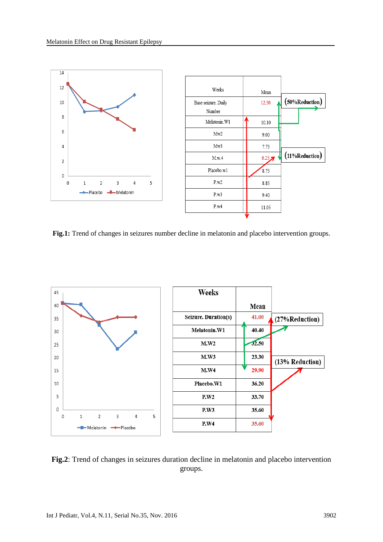

**Fig.1:** Trend of changes in seizures number decline in melatonin and placebo intervention groups.



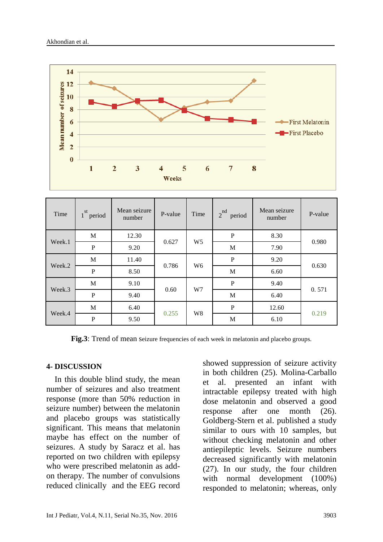

| Time   | st<br>period | Mean seizure<br>number | P-value | Time           | nd<br>$\overline{2}$<br>period | Mean seizure<br>number | P-value |
|--------|--------------|------------------------|---------|----------------|--------------------------------|------------------------|---------|
| Week.1 | M            | 12.30                  | 0.627   | W <sub>5</sub> | $\mathbf{P}$                   | 8.30                   | 0.980   |
|        | ${\bf P}$    | 9.20                   |         |                | M                              | 7.90                   |         |
| Week.2 | M            | 11.40                  | 0.786   | W <sub>6</sub> | ${\bf P}$                      | 9.20                   | 0.630   |
|        | ${\bf P}$    | 8.50                   |         |                | M                              | 6.60                   |         |
| Week.3 | M            | 9.10                   | 0.60    | W7             | ${\bf P}$                      | 9.40                   | 0.571   |
|        | ${\bf P}$    | 9.40                   |         |                | M                              | 6.40                   |         |
| Week.4 | M            | 6.40                   | 0.255   | W <sub>8</sub> | ${\bf P}$                      | 12.60                  | 0.219   |
|        | $\mathbf P$  | 9.50                   |         |                | M                              | 6.10                   |         |

Fig.3: Trend of mean seizure frequencies of each week in melatonin and placebo groups.

#### **4- DISCUSSION**

 In this double blind study, the mean number of seizures and also treatment response (more than 50% reduction in seizure number) between the melatonin and placebo groups was statistically significant. This means that melatonin maybe has effect on the number of seizures. A study by Saracz et al. has reported on two children with epilepsy who were prescribed melatonin as addon therapy. The number of convulsions reduced clinically and the EEG record showed suppression of seizure activity in both children [\(25\)](#page-9-1). Molina-Carballo et al. presented an infant with intractable epilepsy treated with high dose melatonin and observed a good response after one month [\(26\)](#page-9-2). Goldberg-Stern et al. published a study similar to ours with 10 samples, but without checking melatonin and other antiepileptic levels. Seizure numbers decreased significantly with melatonin [\(27\)](#page-9-3). In our study, the four children with normal development (100%) responded to melatonin; whereas, only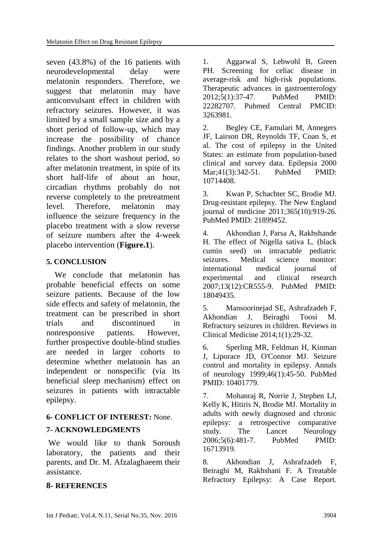seven (43.8%) of the 16 patients with neurodevelopmental delay were melatonin responders. [Therefore, we](javascript:void(0))  [suggest that melatonin may have](javascript:void(0))  [anticonvulsant effect in children with](javascript:void(0))  [refractory seizures.](javascript:void(0)) However, it was limited by a small sample size and by a short period of follow-up, which may increase the possibility of chance findings. Another problem in our study relates to the short washout period, so after melatonin treatment, in spite of its short half-life of about an hour, circadian rhythms probably do not reverse completely to the pretreatment level. Therefore, melatonin may influence the seizure frequency in the placebo treatment with a slow reverse of seizure numbers after the 4-week placebo intervention (**Figure.1**).

### **5. CONCLUSION**

 We conclude that melatonin has probable beneficial effects on some seizure patients. Because of the low side effects and safety of melatonin, the treatment can be prescribed in short trials and discontinued in nonresponsive patients. However, further prospective double-blind studies are needed in larger cohorts to determine whether melatonin has an independent or nonspecific (via its beneficial sleep mechanism) effect on seizures in patients with intractable epilepsy.

### **6- CONFLICT OF INTEREST:** None.

### **7- ACKNOWLEDGMENTS**

We would like to thank Soroush laboratory, the patients and their parents, and Dr. M. Afzalaghaeem their assistance.

### **8- REFERENCES**

1. Aggarwal S, Lebwohl B, Green PH. Screening for celiac disease in average-risk and high-risk populations. Therapeutic advances in gastroenterology 2012;5(1):37-47. PubMed PMID: 22282707. Pubmed Central PMCID: 3263981.

<span id="page-7-0"></span>2. Begley CE, Famulari M, Annegers JF, Lairson DR, Reynolds TF, Coan S, et al. The cost of epilepsy in the United States: an estimate from population-based clinical and survey data. Epilepsia 2000 Mar;41(3):342-51. PubMed PMID: 10714408.

3. Kwan P, Schachter SC, Brodie MJ. Drug-resistant epilepsy. The New England journal of medicine 2011;365(10):919-26. PubMed PMID: 21899452.

4. Akhondian J, Parsa A, Rakhshande H. The effect of Nigella sativa L. (black cumin seed) on intractable pediatric seizures. Medical science monitor: international medical iournal of experimental and clinical research 2007;13(12):CR555-9. PubMed PMID: 18049435.

5. Mansoorinejad SE, Ashrafzadeh F, Akhondian J, Beiraghi Toosi M. Refractory seizures in children. Reviews in Clinical Medicine 2014;1(1):29-32.

<span id="page-7-1"></span>6. Sperling MR, Feldman H, Kinman J, Liporace JD, O'Connor MJ. Seizure control and mortality in epilepsy. Annals of neurology 1999;46(1):45-50. PubMed PMID: 10401779.

<span id="page-7-2"></span>7. Mohanraj R, Norrie J, Stephen LJ, Kelly K, Hitiris N, Brodie MJ. Mortality in adults with newly diagnosed and chronic epilepsy: a retrospective comparative study. The Lancet Neurology 2006;5(6):481-7. PubMed PMID: 16713919.

<span id="page-7-3"></span>8. Akhondian J, Ashrafzadeh F, Beiraghi M, Rakhshani F. A Treatable Refractory Epilepsy: A Case Report.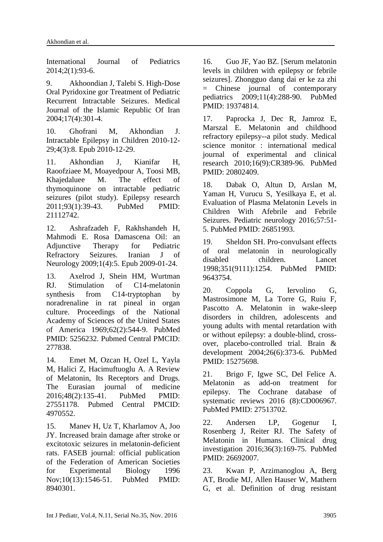International Journal of Pediatrics 2014;2(1):93-6.

<span id="page-8-0"></span>9. Akhoondian J, Talebi S. High-Dose Oral Pyridoxine gor Treatment of Pediatric Recurrent Intractable Seizures. Medical Journal of the Islamic Republic Of Iran 2004;17(4):301-4.

<span id="page-8-1"></span>10. Ghofrani M, Akhondian J. Intractable Epilepsy in Children 2010-12- 29;4(3):8. Epub 2010-12-29.

11. Akhondian J, Kianifar H, Raoofziaee M, Moayedpour A, Toosi MB, Khajedaluee M. The effect of thymoquinone on intractable pediatric seizures (pilot study). Epilepsy research 2011;93(1):39-43. PubMed PMID: 21112742.

12. Ashrafzadeh F, Rakhshandeh H, Mahmodi E. Rosa Damascena Oil: an Adjunctive Therapy for Pediatric Refractory Seizures. Iranian J of Neurology 2009;1(4):5. Epub 2009-01-24.

<span id="page-8-2"></span>13. Axelrod J, Shein HM, Wurtman RJ. Stimulation of C14-melatonin synthesis from C14-tryptophan by noradrenaline in rat pineal in organ culture. Proceedings of the National Academy of Sciences of the United States of America 1969;62(2):544-9. PubMed PMID: 5256232. Pubmed Central PMCID: 277838.

<span id="page-8-3"></span>14. Emet M, Ozcan H, Ozel L, Yayla M, Halici Z, Hacimuftuoglu A. A Review of Melatonin, Its Receptors and Drugs. The Eurasian journal of medicine 2016;48(2):135-41. PubMed PMID: 27551178. Pubmed Central PMCID: 4970552.

<span id="page-8-4"></span>15. Manev H, Uz T, Kharlamov A, Joo JY. Increased brain damage after stroke or excitotoxic seizures in melatonin-deficient rats. FASEB journal: official publication of the Federation of American Societies for Experimental Biology 1996 Nov;10(13):1546-51. PubMed PMID: 8940301.

<span id="page-8-5"></span>16. Guo JF, Yao BZ. [Serum melatonin levels in children with epilepsy or febrile seizures]. Zhongguo dang dai er ke za zhi = Chinese journal of contemporary pediatrics 2009;11(4):288-90. PubMed PMID: 19374814.

17. Paprocka J, Dec R, Jamroz E, Marszal E. Melatonin and childhood refractory epilepsy--a pilot study. Medical science monitor : international medical journal of experimental and clinical research 2010;16(9):CR389-96. PubMed PMID: 20802409.

18. Dabak O, Altun D, Arslan M, Yaman H, Vurucu S, Yesilkaya E, et al. Evaluation of Plasma Melatonin Levels in Children With Afebrile and Febrile Seizures. Pediatric neurology 2016;57:51- 5. PubMed PMID: 26851993.

<span id="page-8-6"></span>19. Sheldon SH. Pro-convulsant effects of oral melatonin in neurologically disabled children. Lancet 1998;351(9111):1254. PubMed PMID: 9643754.

<span id="page-8-7"></span>20. Coppola G, Iervolino G, Mastrosimone M, La Torre G, Ruiu F, Pascotto A. Melatonin in wake-sleep disorders in children, adolescents and young adults with mental retardation with or without epilepsy: a double-blind, crossover, placebo-controlled trial. Brain & development 2004;26(6):373-6. PubMed PMID: 15275698.

21. Brigo F, Igwe SC, Del Felice A. Melatonin as add-on treatment for epilepsy. The Cochrane database of systematic reviews 2016 (8):CD006967. PubMed PMID: 27513702.

<span id="page-8-8"></span>22. Andersen LP, Gogenur I, Rosenberg J, Reiter RJ. The Safety of Melatonin in Humans. Clinical drug investigation 2016;36(3):169-75. PubMed PMID: 26692007.

<span id="page-8-9"></span>23. Kwan P, Arzimanoglou A, Berg AT, Brodie MJ, Allen Hauser W, Mathern G, et al. Definition of drug resistant